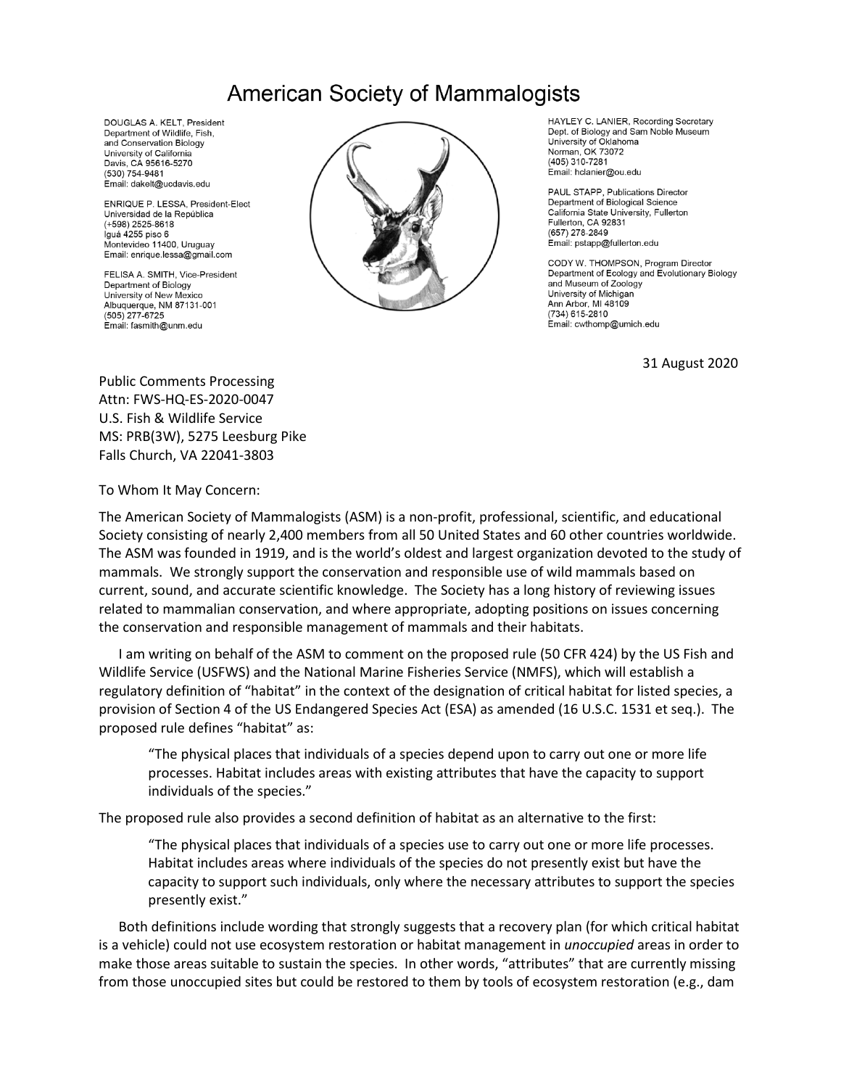## **American Society of Mammalogists**

DOUGLAS A. KELT, President Department of Wildlife, Fish. and Conservation Biology University of California Davis, CA 95616-5270 (530) 754-9481 Email: dakelt@ucdavis.edu

ENRIQUE P. LESSA, President-Elect Universidad de la República  $(+598)$  2525-8618 Iguá 4255 piso 6 Montevideo 11400, Uruguay Email: enrique.lessa@gmail.com

FELISA A. SMITH, Vice-President Department of Biology University of New Mexico Albuquerque, NM 87131-001  $(505)$  277-6725 Email: fasmith@unm.edu



HAYLEY C. LANIER, Recording Secretary Dept. of Biology and Sam Noble Museum University of Oklahoma Norman, OK 73072 (405) 310-7281 Email: hclanier@ou.edu

PAUL STAPP, Publications Director Department of Biological Science California State University, Fullerton Fullerton, CA 92831 (657) 278-2849 Email: pstapp@fullerton.edu

CODY W. THOMPSON, Program Director Department of Ecology and Evolutionary Biology and Museum of Zoology University of Michigan Ann Arbor, MI 48109 (734) 615-2810 Email: cwthomp@umich.edu

31 August 2020

Public Comments Processing Attn: FWS-HQ-ES-2020-0047 U.S. Fish & Wildlife Service MS: PRB(3W), 5275 Leesburg Pike Falls Church, VA 22041-3803

To Whom It May Concern:

The American Society of Mammalogists (ASM) is a non-profit, professional, scientific, and educational Society consisting of nearly 2,400 members from all 50 United States and 60 other countries worldwide. The ASM was founded in 1919, and is the world's oldest and largest organization devoted to the study of mammals. We strongly support the conservation and responsible use of wild mammals based on current, sound, and accurate scientific knowledge. The Society has a long history of reviewing issues related to mammalian conservation, and where appropriate, adopting positions on issues concerning the conservation and responsible management of mammals and their habitats.

I am writing on behalf of the ASM to comment on the proposed rule (50 CFR 424) by the US Fish and Wildlife Service (USFWS) and the National Marine Fisheries Service (NMFS), which will establish a regulatory definition of "habitat" in the context of the designation of critical habitat for listed species, a provision of Section 4 of the US Endangered Species Act (ESA) as amended (16 U.S.C. 1531 et seq.). The proposed rule defines "habitat" as:

"The physical places that individuals of a species depend upon to carry out one or more life processes. Habitat includes areas with existing attributes that have the capacity to support individuals of the species."

The proposed rule also provides a second definition of habitat as an alternative to the first:

"The physical places that individuals of a species use to carry out one or more life processes. Habitat includes areas where individuals of the species do not presently exist but have the capacity to support such individuals, only where the necessary attributes to support the species presently exist."

Both definitions include wording that strongly suggests that a recovery plan (for which critical habitat is a vehicle) could not use ecosystem restoration or habitat management in *unoccupied* areas in order to make those areas suitable to sustain the species. In other words, "attributes" that are currently missing from those unoccupied sites but could be restored to them by tools of ecosystem restoration (e.g., dam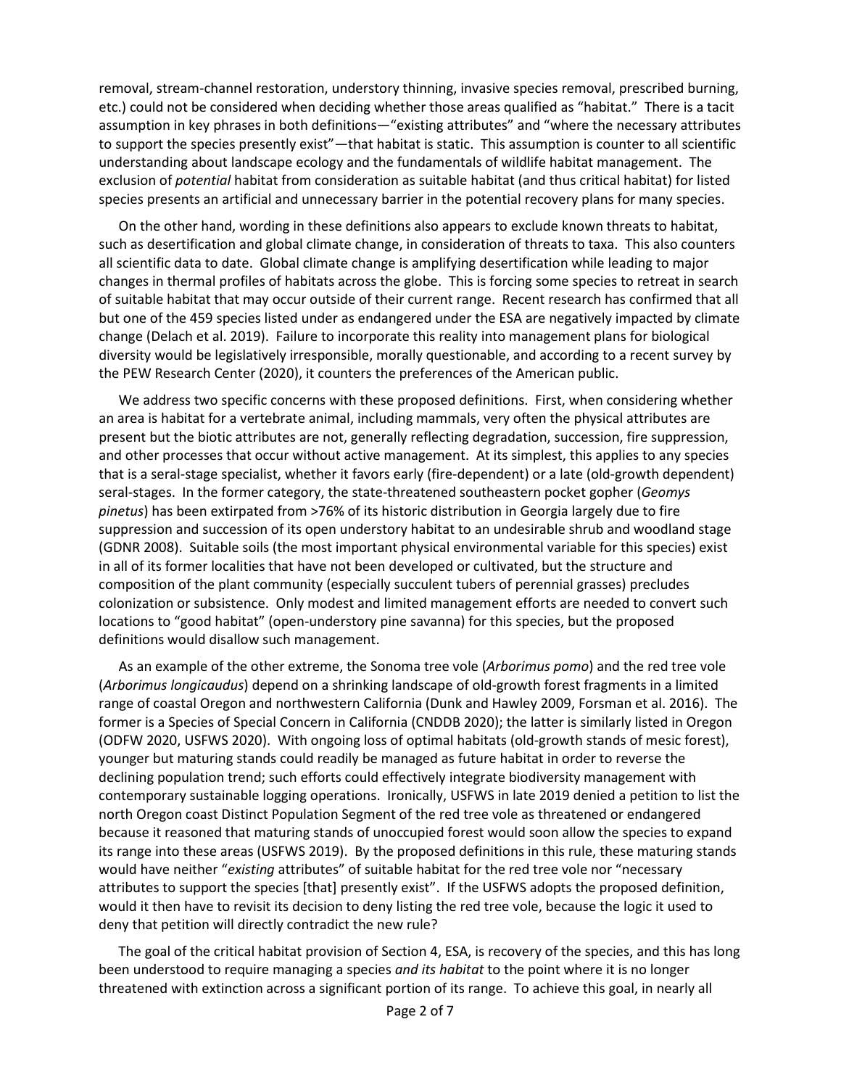removal, stream-channel restoration, understory thinning, invasive species removal, prescribed burning, etc.) could not be considered when deciding whether those areas qualified as "habitat." There is a tacit assumption in key phrases in both definitions—"existing attributes" and "where the necessary attributes to support the species presently exist"—that habitat is static. This assumption is counter to all scientific understanding about landscape ecology and the fundamentals of wildlife habitat management. The exclusion of *potential* habitat from consideration as suitable habitat (and thus critical habitat) for listed species presents an artificial and unnecessary barrier in the potential recovery plans for many species.

On the other hand, wording in these definitions also appears to exclude known threats to habitat, such as desertification and global climate change, in consideration of threats to taxa. This also counters all scientific data to date. Global climate change is amplifying desertification while leading to major changes in thermal profiles of habitats across the globe. This is forcing some species to retreat in search of suitable habitat that may occur outside of their current range. Recent research has confirmed that all but one of the 459 species listed under as endangered under the ESA are negatively impacted by climate change (Delach et al. 2019). Failure to incorporate this reality into management plans for biological diversity would be legislatively irresponsible, morally questionable, and according to a recent survey by the PEW Research Center (2020), it counters the preferences of the American public.

We address two specific concerns with these proposed definitions. First, when considering whether an area is habitat for a vertebrate animal, including mammals, very often the physical attributes are present but the biotic attributes are not, generally reflecting degradation, succession, fire suppression, and other processes that occur without active management. At its simplest, this applies to any species that is a seral-stage specialist, whether it favors early (fire-dependent) or a late (old-growth dependent) seral-stages. In the former category, the state-threatened southeastern pocket gopher (*Geomys pinetus*) has been extirpated from >76% of its historic distribution in Georgia largely due to fire suppression and succession of its open understory habitat to an undesirable shrub and woodland stage (GDNR 2008). Suitable soils (the most important physical environmental variable for this species) exist in all of its former localities that have not been developed or cultivated, but the structure and composition of the plant community (especially succulent tubers of perennial grasses) precludes colonization or subsistence. Only modest and limited management efforts are needed to convert such locations to "good habitat" (open-understory pine savanna) for this species, but the proposed definitions would disallow such management.

As an example of the other extreme, the Sonoma tree vole (*Arborimus pomo*) and the red tree vole (*Arborimus longicaudus*) depend on a shrinking landscape of old-growth forest fragments in a limited range of coastal Oregon and northwestern California (Dunk and Hawley 2009, Forsman et al. 2016). The former is a Species of Special Concern in California (CNDDB 2020); the latter is similarly listed in Oregon (ODFW 2020, USFWS 2020). With ongoing loss of optimal habitats (old-growth stands of mesic forest), younger but maturing stands could readily be managed as future habitat in order to reverse the declining population trend; such efforts could effectively integrate biodiversity management with contemporary sustainable logging operations. Ironically, USFWS in late 2019 denied a petition to list the north Oregon coast Distinct Population Segment of the red tree vole as threatened or endangered because it reasoned that maturing stands of unoccupied forest would soon allow the species to expand its range into these areas (USFWS 2019). By the proposed definitions in this rule, these maturing stands would have neither "*existing* attributes" of suitable habitat for the red tree vole nor "necessary attributes to support the species [that] presently exist". If the USFWS adopts the proposed definition, would it then have to revisit its decision to deny listing the red tree vole, because the logic it used to deny that petition will directly contradict the new rule?

The goal of the critical habitat provision of Section 4, ESA, is recovery of the species, and this has long been understood to require managing a species *and its habitat* to the point where it is no longer threatened with extinction across a significant portion of its range. To achieve this goal, in nearly all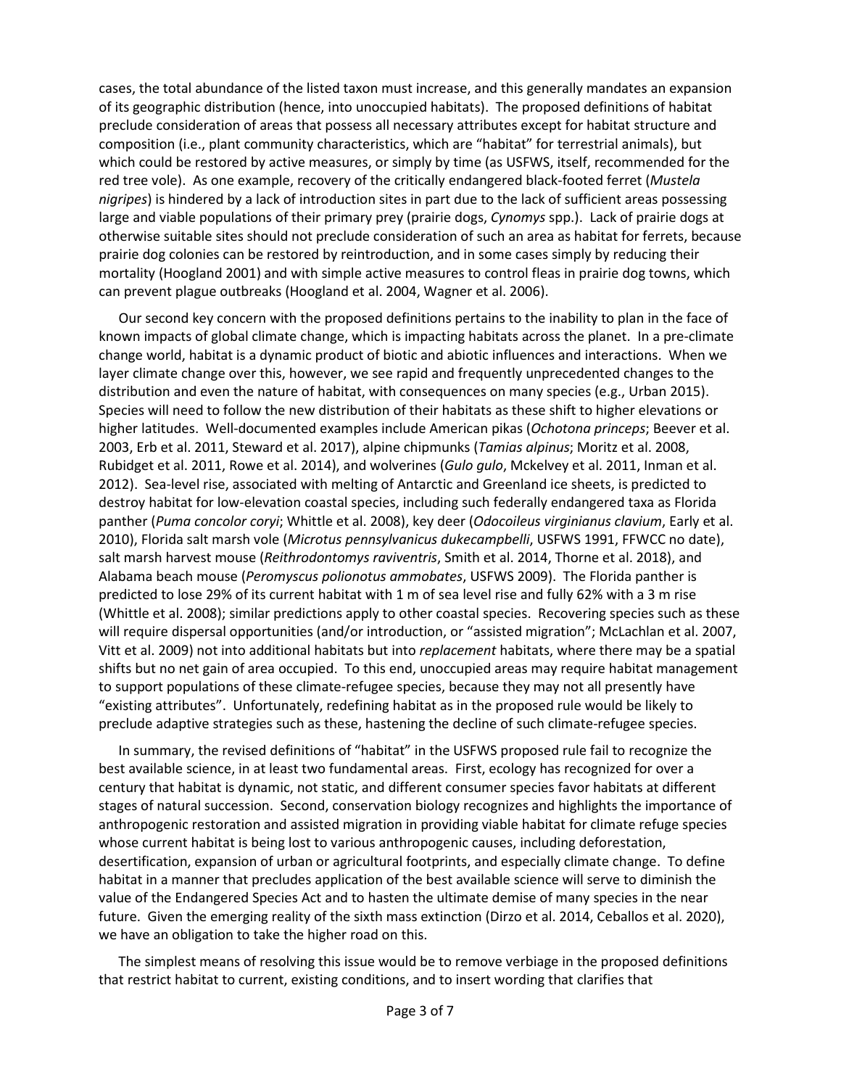cases, the total abundance of the listed taxon must increase, and this generally mandates an expansion of its geographic distribution (hence, into unoccupied habitats). The proposed definitions of habitat preclude consideration of areas that possess all necessary attributes except for habitat structure and composition (i.e., plant community characteristics, which are "habitat" for terrestrial animals), but which could be restored by active measures, or simply by time (as USFWS, itself, recommended for the red tree vole). As one example, recovery of the critically endangered black-footed ferret (*Mustela nigripes*) is hindered by a lack of introduction sites in part due to the lack of sufficient areas possessing large and viable populations of their primary prey (prairie dogs, *Cynomys* spp.). Lack of prairie dogs at otherwise suitable sites should not preclude consideration of such an area as habitat for ferrets, because prairie dog colonies can be restored by reintroduction, and in some cases simply by reducing their mortality (Hoogland 2001) and with simple active measures to control fleas in prairie dog towns, which can prevent plague outbreaks (Hoogland et al. 2004, Wagner et al. 2006).

Our second key concern with the proposed definitions pertains to the inability to plan in the face of known impacts of global climate change, which is impacting habitats across the planet. In a pre-climate change world, habitat is a dynamic product of biotic and abiotic influences and interactions. When we layer climate change over this, however, we see rapid and frequently unprecedented changes to the distribution and even the nature of habitat, with consequences on many species (e.g., Urban 2015). Species will need to follow the new distribution of their habitats as these shift to higher elevations or higher latitudes. Well-documented examples include American pikas (*Ochotona princeps*; Beever et al. 2003, Erb et al. 2011, Steward et al. 2017), alpine chipmunks (*Tamias alpinus*; Moritz et al. 2008, Rubidget et al. 2011, Rowe et al. 2014), and wolverines (*Gulo gulo*, Mckelvey et al. 2011, Inman et al. 2012). Sea-level rise, associated with melting of Antarctic and Greenland ice sheets, is predicted to destroy habitat for low-elevation coastal species, including such federally endangered taxa as Florida panther (*Puma concolor coryi*; Whittle et al. 2008), key deer (*Odocoileus virginianus clavium*, Early et al. 2010), Florida salt marsh vole (*Microtus pennsylvanicus dukecampbelli*, USFWS 1991, FFWCC no date), salt marsh harvest mouse (*Reithrodontomys raviventris*, Smith et al. 2014, Thorne et al. 2018), and Alabama beach mouse (*Peromyscus polionotus ammobates*, USFWS 2009). The Florida panther is predicted to lose 29% of its current habitat with 1 m of sea level rise and fully 62% with a 3 m rise (Whittle et al. 2008); similar predictions apply to other coastal species. Recovering species such as these will require dispersal opportunities (and/or introduction, or "assisted migration"; McLachlan et al. 2007, Vitt et al. 2009) not into additional habitats but into *replacement* habitats, where there may be a spatial shifts but no net gain of area occupied. To this end, unoccupied areas may require habitat management to support populations of these climate-refugee species, because they may not all presently have "existing attributes". Unfortunately, redefining habitat as in the proposed rule would be likely to preclude adaptive strategies such as these, hastening the decline of such climate-refugee species.

In summary, the revised definitions of "habitat" in the USFWS proposed rule fail to recognize the best available science, in at least two fundamental areas. First, ecology has recognized for over a century that habitat is dynamic, not static, and different consumer species favor habitats at different stages of natural succession. Second, conservation biology recognizes and highlights the importance of anthropogenic restoration and assisted migration in providing viable habitat for climate refuge species whose current habitat is being lost to various anthropogenic causes, including deforestation, desertification, expansion of urban or agricultural footprints, and especially climate change. To define habitat in a manner that precludes application of the best available science will serve to diminish the value of the Endangered Species Act and to hasten the ultimate demise of many species in the near future. Given the emerging reality of the sixth mass extinction (Dirzo et al. 2014, Ceballos et al. 2020), we have an obligation to take the higher road on this.

The simplest means of resolving this issue would be to remove verbiage in the proposed definitions that restrict habitat to current, existing conditions, and to insert wording that clarifies that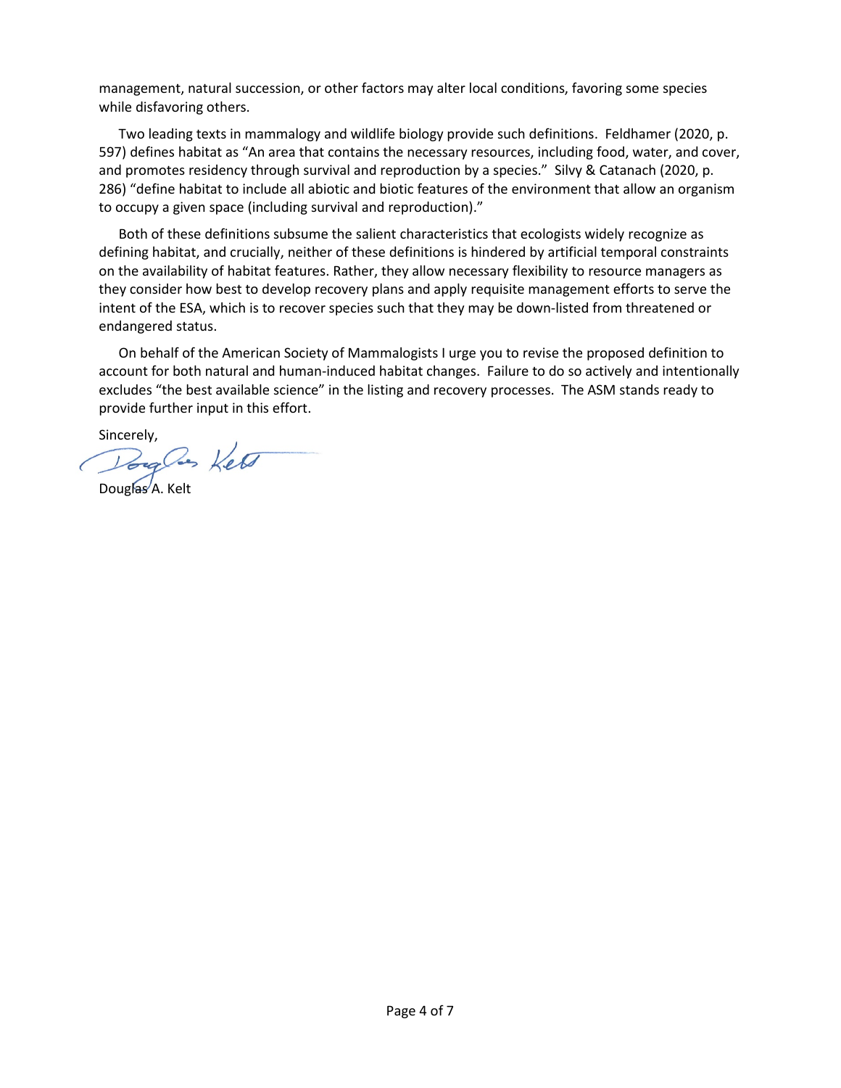management, natural succession, or other factors may alter local conditions, favoring some species while disfavoring others.

Two leading texts in mammalogy and wildlife biology provide such definitions. Feldhamer (2020, p. 597) defines habitat as "An area that contains the necessary resources, including food, water, and cover, and promotes residency through survival and reproduction by a species." Silvy & Catanach (2020, p. 286) "define habitat to include all abiotic and biotic features of the environment that allow an organism to occupy a given space (including survival and reproduction)."

Both of these definitions subsume the salient characteristics that ecologists widely recognize as defining habitat, and crucially, neither of these definitions is hindered by artificial temporal constraints on the availability of habitat features. Rather, they allow necessary flexibility to resource managers as they consider how best to develop recovery plans and apply requisite management efforts to serve the intent of the ESA, which is to recover species such that they may be down-listed from threatened or endangered status.

On behalf of the American Society of Mammalogists I urge you to revise the proposed definition to account for both natural and human-induced habitat changes. Failure to do so actively and intentionally excludes "the best available science" in the listing and recovery processes. The ASM stands ready to provide further input in this effort.

Sincerely,

Douglas Kelt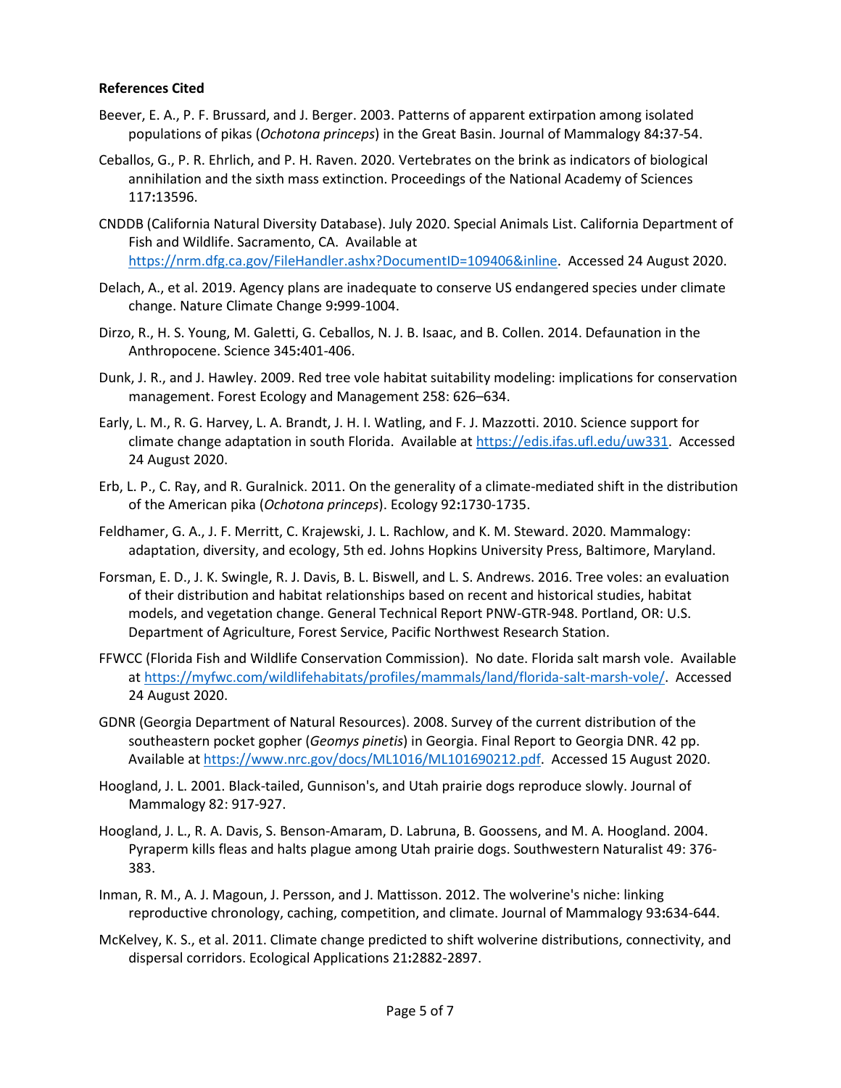## **References Cited**

- Beever, E. A., P. F. Brussard, and J. Berger. 2003. Patterns of apparent extirpation among isolated populations of pikas (*Ochotona princeps*) in the Great Basin. Journal of Mammalogy 84**:**37-54.
- Ceballos, G., P. R. Ehrlich, and P. H. Raven. 2020. Vertebrates on the brink as indicators of biological annihilation and the sixth mass extinction. Proceedings of the National Academy of Sciences 117**:**13596.
- CNDDB (California Natural Diversity Database). July 2020. Special Animals List. California Department of Fish and Wildlife. Sacramento, CA. Available at [https://nrm.dfg.ca.gov/FileHandler.ashx?DocumentID=109406&inline.](https://nrm.dfg.ca.gov/FileHandler.ashx?DocumentID=109406&inline) Accessed 24 August 2020.
- Delach, A., et al. 2019. Agency plans are inadequate to conserve US endangered species under climate change. Nature Climate Change 9**:**999-1004.
- Dirzo, R., H. S. Young, M. Galetti, G. Ceballos, N. J. B. Isaac, and B. Collen. 2014. Defaunation in the Anthropocene. Science 345**:**401-406.
- Dunk, J. R., and J. Hawley. 2009. Red tree vole habitat suitability modeling: implications for conservation management. Forest Ecology and Management 258: 626–634.
- Early, L. M., R. G. Harvey, L. A. Brandt, J. H. I. Watling, and F. J. Mazzotti. 2010. Science support for climate change adaptation in south Florida. Available a[t https://edis.ifas.ufl.edu/uw331.](https://edis.ifas.ufl.edu/uw331) Accessed 24 August 2020.
- Erb, L. P., C. Ray, and R. Guralnick. 2011. On the generality of a climate-mediated shift in the distribution of the American pika (*Ochotona princeps*). Ecology 92**:**1730-1735.
- Feldhamer, G. A., J. F. Merritt, C. Krajewski, J. L. Rachlow, and K. M. Steward. 2020. Mammalogy: adaptation, diversity, and ecology, 5th ed. Johns Hopkins University Press, Baltimore, Maryland.
- Forsman, E. D., J. K. Swingle, R. J. Davis, B. L. Biswell, and L. S. Andrews. 2016. Tree voles: an evaluation of their distribution and habitat relationships based on recent and historical studies, habitat models, and vegetation change. General Technical Report PNW-GTR-948. Portland, OR: U.S. Department of Agriculture, Forest Service, Pacific Northwest Research Station.
- FFWCC (Florida Fish and Wildlife Conservation Commission). No date. Florida salt marsh vole. Available at [https://myfwc.com/wildlifehabitats/profiles/mammals/land/florida-salt-marsh-vole/.](https://myfwc.com/wildlifehabitats/profiles/mammals/land/florida-salt-marsh-vole/) Accessed 24 August 2020.
- GDNR (Georgia Department of Natural Resources). 2008. Survey of the current distribution of the southeastern pocket gopher (*Geomys pinetis*) in Georgia. Final Report to Georgia DNR. 42 pp. Available at [https://www.nrc.gov/docs/ML1016/ML101690212.pdf.](https://www.nrc.gov/docs/ML1016/ML101690212.pdf) Accessed 15 August 2020.
- Hoogland, J. L. 2001. Black-tailed, Gunnison's, and Utah prairie dogs reproduce slowly. Journal of Mammalogy 82: 917-927.
- Hoogland, J. L., R. A. Davis, S. Benson-Amaram, D. Labruna, B. Goossens, and M. A. Hoogland. 2004. Pyraperm kills fleas and halts plague among Utah prairie dogs. Southwestern Naturalist 49: 376- 383.
- Inman, R. M., A. J. Magoun, J. Persson, and J. Mattisson. 2012. The wolverine's niche: linking reproductive chronology, caching, competition, and climate. Journal of Mammalogy 93**:**634-644.
- McKelvey, K. S., et al. 2011. Climate change predicted to shift wolverine distributions, connectivity, and dispersal corridors. Ecological Applications 21**:**2882-2897.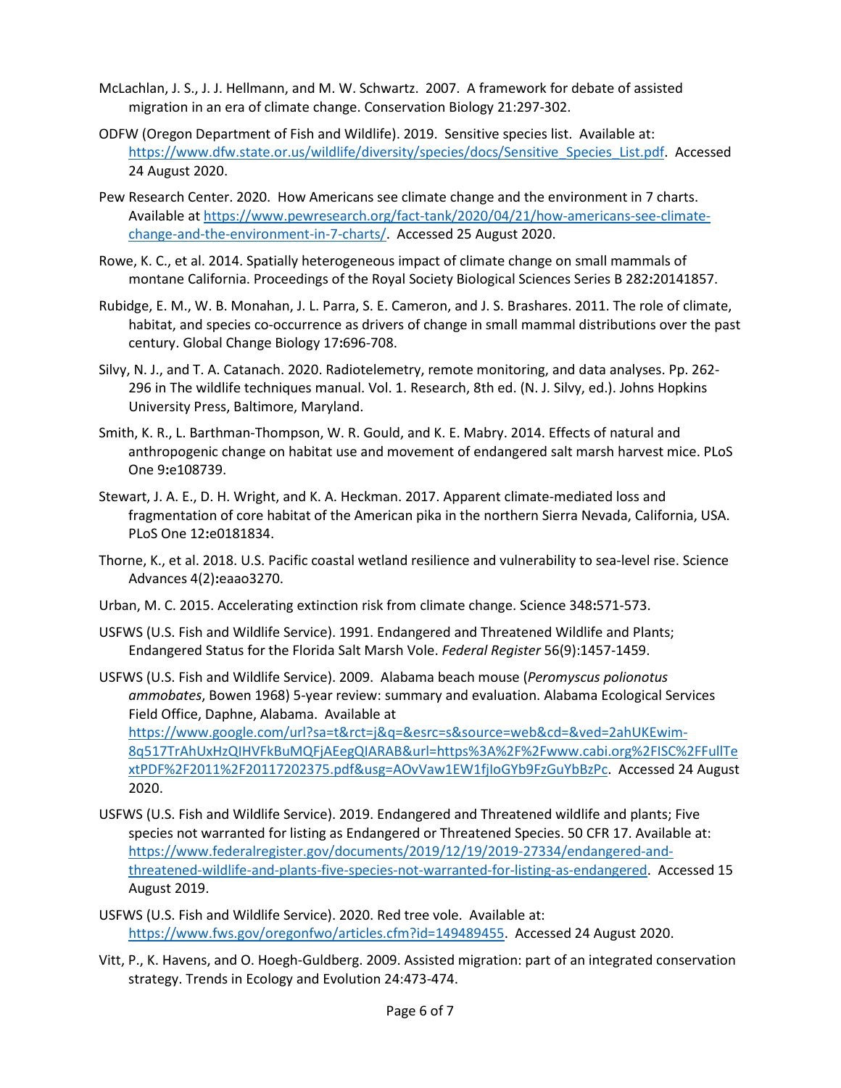- McLachlan, J. S., J. J. Hellmann, and M. W. Schwartz. 2007. A framework for debate of assisted migration in an era of climate change. Conservation Biology 21:297-302.
- ODFW (Oregon Department of Fish and Wildlife). 2019. Sensitive species list. Available at: [https://www.dfw.state.or.us/wildlife/diversity/species/docs/Sensitive\\_Species\\_List.pdf.](https://www.dfw.state.or.us/wildlife/diversity/species/docs/Sensitive_Species_List.pdf) Accessed 24 August 2020.
- Pew Research Center. 2020. How Americans see climate change and the environment in 7 charts. Available at [https://www.pewresearch.org/fact-tank/2020/04/21/how-americans-see-climate](https://www.pewresearch.org/fact-tank/2020/04/21/how-americans-see-climate-change-and-the-environment-in-7-charts/)[change-and-the-environment-in-7-charts/.](https://www.pewresearch.org/fact-tank/2020/04/21/how-americans-see-climate-change-and-the-environment-in-7-charts/) Accessed 25 August 2020.
- Rowe, K. C., et al. 2014. Spatially heterogeneous impact of climate change on small mammals of montane California. Proceedings of the Royal Society Biological Sciences Series B 282**:**20141857.
- Rubidge, E. M., W. B. Monahan, J. L. Parra, S. E. Cameron, and J. S. Brashares. 2011. The role of climate, habitat, and species co-occurrence as drivers of change in small mammal distributions over the past century. Global Change Biology 17**:**696-708.
- Silvy, N. J., and T. A. Catanach. 2020. Radiotelemetry, remote monitoring, and data analyses. Pp. 262- 296 in The wildlife techniques manual. Vol. 1. Research, 8th ed. (N. J. Silvy, ed.). Johns Hopkins University Press, Baltimore, Maryland.
- Smith, K. R., L. Barthman-Thompson, W. R. Gould, and K. E. Mabry. 2014. Effects of natural and anthropogenic change on habitat use and movement of endangered salt marsh harvest mice. PLoS One 9**:**e108739.
- Stewart, J. A. E., D. H. Wright, and K. A. Heckman. 2017. Apparent climate-mediated loss and fragmentation of core habitat of the American pika in the northern Sierra Nevada, California, USA. PLoS One 12**:**e0181834.
- Thorne, K., et al. 2018. U.S. Pacific coastal wetland resilience and vulnerability to sea-level rise. Science Advances 4(2)**:**eaao3270.
- Urban, M. C. 2015. Accelerating extinction risk from climate change. Science 348**:**571-573.
- USFWS (U.S. Fish and Wildlife Service). 1991. Endangered and Threatened Wildlife and Plants; Endangered Status for the Florida Salt Marsh Vole. *Federal Register* 56(9):1457-1459.
- USFWS (U.S. Fish and Wildlife Service). 2009. Alabama beach mouse (*Peromyscus polionotus ammobates*, Bowen 1968) 5-year review: summary and evaluation. Alabama Ecological Services Field Office, Daphne, Alabama. Available at [https://www.google.com/url?sa=t&rct=j&q=&esrc=s&source=web&cd=&ved=2ahUKEwim-](https://www.google.com/url?sa=t&rct=j&q=&esrc=s&source=web&cd=&ved=2ahUKEwim-8q517TrAhUxHzQIHVFkBuMQFjAEegQIARAB&url=https%3A%2F%2Fwww.cabi.org%2FISC%2FFullTextPDF%2F2011%2F20117202375.pdf&usg=AOvVaw1EW1fjIoGYb9FzGuYbBzPc)[8q517TrAhUxHzQIHVFkBuMQFjAEegQIARAB&url=https%3A%2F%2Fwww.cabi.org%2FISC%2FFullTe](https://www.google.com/url?sa=t&rct=j&q=&esrc=s&source=web&cd=&ved=2ahUKEwim-8q517TrAhUxHzQIHVFkBuMQFjAEegQIARAB&url=https%3A%2F%2Fwww.cabi.org%2FISC%2FFullTextPDF%2F2011%2F20117202375.pdf&usg=AOvVaw1EW1fjIoGYb9FzGuYbBzPc) [xtPDF%2F2011%2F20117202375.pdf&usg=AOvVaw1EW1fjIoGYb9FzGuYbBzPc.](https://www.google.com/url?sa=t&rct=j&q=&esrc=s&source=web&cd=&ved=2ahUKEwim-8q517TrAhUxHzQIHVFkBuMQFjAEegQIARAB&url=https%3A%2F%2Fwww.cabi.org%2FISC%2FFullTextPDF%2F2011%2F20117202375.pdf&usg=AOvVaw1EW1fjIoGYb9FzGuYbBzPc) Accessed 24 August 2020.
- USFWS (U.S. Fish and Wildlife Service). 2019. Endangered and Threatened wildlife and plants; Five species not warranted for listing as Endangered or Threatened Species. 50 CFR 17. Available at: [https://www.federalregister.gov/documents/2019/12/19/2019-27334/endangered-and](https://www.federalregister.gov/documents/2019/12/19/2019-27334/endangered-and-threatened-wildlife-and-plants-five-species-not-warranted-for-listing-as-endangered)[threatened-wildlife-and-plants-five-species-not-warranted-for-listing-as-endangered.](https://www.federalregister.gov/documents/2019/12/19/2019-27334/endangered-and-threatened-wildlife-and-plants-five-species-not-warranted-for-listing-as-endangered) Accessed 15 August 2019.
- USFWS (U.S. Fish and Wildlife Service). 2020. Red tree vole. Available at: [https://www.fws.gov/oregonfwo/articles.cfm?id=149489455.](https://www.fws.gov/oregonfwo/articles.cfm?id=149489455) Accessed 24 August 2020.
- Vitt, P., K. Havens, and O. Hoegh-Guldberg. 2009. Assisted migration: part of an integrated conservation strategy. Trends in Ecology and Evolution 24:473-474.